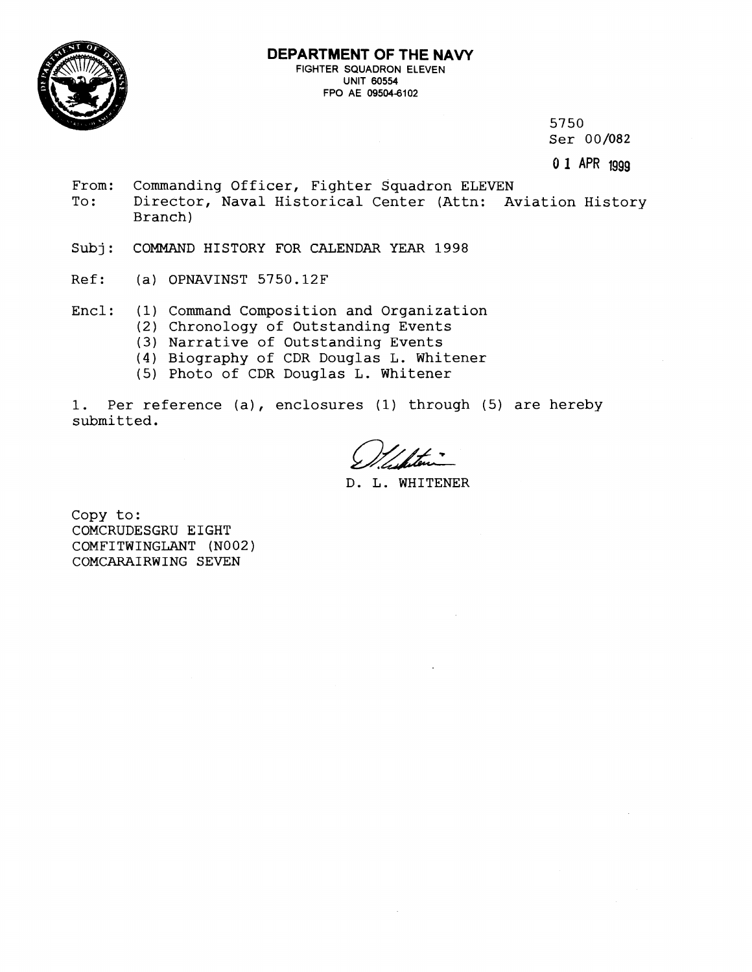

5750 Ser 00/082

*0* **1 APR** 1999

- From: Commanding Officer, Fighter Squadron ELEVEN<br>To: Director, Naval Historical Center (Attn: A Director, Naval Historical Center (Attn: Aviation History Branch)
- **Subj:** COMMAND HISTORY FOR CALENDAR YEAR 1998
- Ref: (a) OPNAVINST 5750.12F
- Encl: (1) Command Composition and Organization
	- (2) Chronology of Outstanding Events
	- (3) Narrative of Outstanding Events
	- (4) Biography of CDR Douglas L. Whitener
	- (5) Photo of CDR Douglas L. Whitener

I. Per reference (a), enclosures **(1)** through (5) are hereby submitted.

D. L. WHITENER

Copy to: COMCRUDESGRU EIGHT COMFITWINGLANT (N002) COMCARAIRWING SEVEN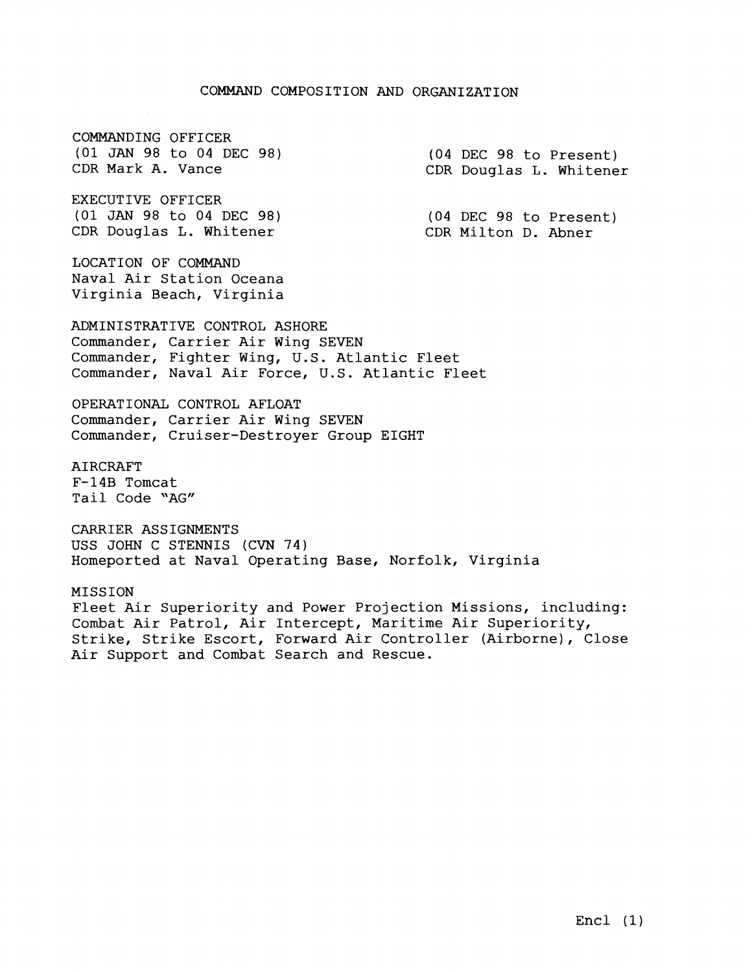## COMMAND COMPOSITION AND ORGANIZATION

COMMANDING OFFICER (01 JAN 98 to 04 DEC 98) CDR Mark A. Vance

EXECUTIVE OFFICER (01 JAN 98 to 04 DEC 98) CDR Douglas L. Whitener

LOCATION OF COMMAND Naval Air Station Oceana Virginia Beach, Virginia

ADMINISTRATIVE CONTROL ASHORE Commander, Carrier Air Wing SEVEN Commander, Fighter Wing, U.S. Atlantic Fleet Commander, Naval Air Force, U.S. Atlantic Fleet

OPERATIONAL CONTROL AFLOAT Commander, Carrier Air Wing SEVEN Commander, Cruiser-Destroyer Group EIGHT

AIRCRAFT F-14B Tomcat Tail Code "AG"

CARRIER ASSIGNMENTS USS JOHN C STENNIS (CVN 74) Homeported at Naval Operating Base, Norfolk, Virginia

MISSION Fleet Air Superiority and Power Projection Missions, including: Combat Air Patrol, Air Intercept, Maritime Air Superiority, Strike, Strike Escort, Forward Air Controller (Airborne), Close Air Support and Combat Search and Rescue.

(04 DEC 98 to Present) CDR Douglas L. Whitener

(04 DEC 98 to Present) CDR Milton D. Abner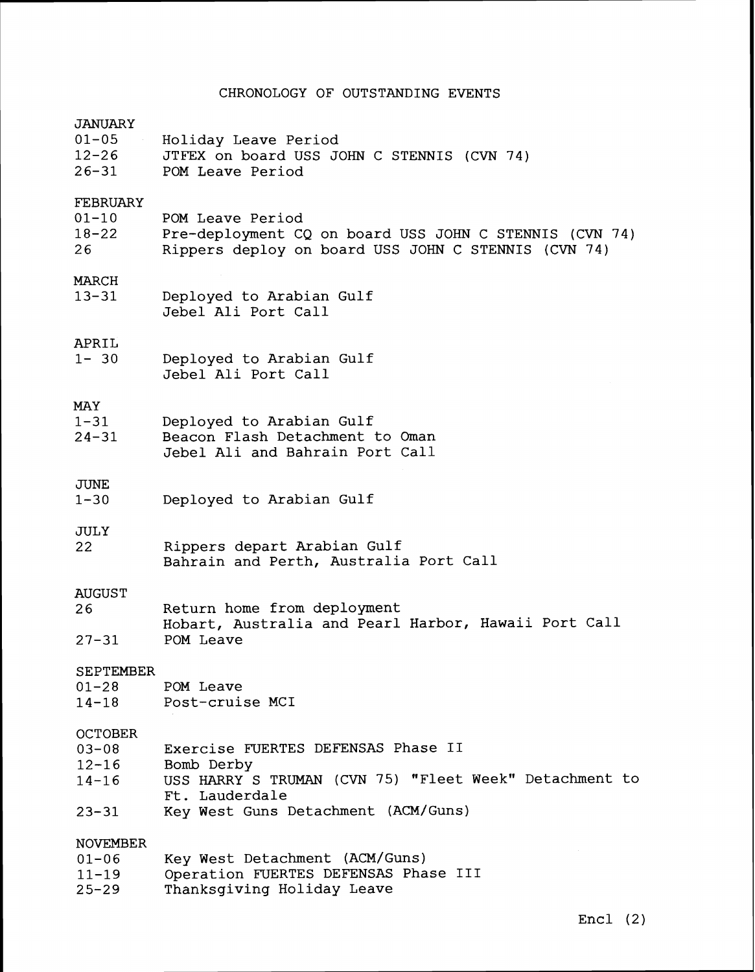## CHRONOLOGY OF OUTSTANDING EVENTS

| JANUARY          |                                                        |  |
|------------------|--------------------------------------------------------|--|
| $01 - 05$        | Holiday Leave Period                                   |  |
| $12 - 26$        | JTFEX on board USS JOHN C STENNIS (CVN 74)             |  |
|                  |                                                        |  |
| $26 - 31$        | POM Leave Period                                       |  |
| FEBRUARY         |                                                        |  |
| $01 - 10$        | POM Leave Period                                       |  |
| $18 - 22$        |                                                        |  |
|                  | Pre-deployment CQ on board USS JOHN C STENNIS (CVN 74) |  |
| 26               | Rippers deploy on board USS JOHN C STENNIS (CVN 74)    |  |
| MARCH            |                                                        |  |
| $13 - 31$        | Deployed to Arabian Gulf                               |  |
|                  | Jebel Ali Port Call                                    |  |
| APRIL            |                                                        |  |
| $1 - 30$         | Deployed to Arabian Gulf                               |  |
|                  | Jebel Ali Port Call                                    |  |
|                  |                                                        |  |
| MAY              |                                                        |  |
| $1 - 31$         | Deployed to Arabian Gulf                               |  |
| $24 - 31$        | Beacon Flash Detachment to Oman                        |  |
|                  | Jebel Ali and Bahrain Port Call                        |  |
| <b>JUNE</b>      |                                                        |  |
| $1 - 30$         | Deployed to Arabian Gulf                               |  |
|                  |                                                        |  |
| <b>JULY</b>      |                                                        |  |
| 22               | Rippers depart Arabian Gulf                            |  |
|                  | Bahrain and Perth, Australia Port Call                 |  |
|                  |                                                        |  |
| <b>AUGUST</b>    |                                                        |  |
| 26               | Return home from deployment                            |  |
|                  | Hobart, Australia and Pearl Harbor, Hawaii Port Call   |  |
| $27 - 31$        | POM Leave                                              |  |
|                  |                                                        |  |
| <b>SEPTEMBER</b> |                                                        |  |
| $01 - 28$        | POM Leave                                              |  |
|                  | 14-18 Post-cruise MCI                                  |  |
| <b>OCTOBER</b>   |                                                        |  |
| $03 - 08$        | Exercise FUERTES DEFENSAS Phase II                     |  |
| $12 - 16$        | Bomb Derby                                             |  |
|                  |                                                        |  |
| $14 - 16$        | USS HARRY S TRUMAN (CVN 75) "Fleet Week" Detachment to |  |
|                  | Ft. Lauderdale                                         |  |
| 23-31            | Key West Guns Detachment (ACM/Guns)                    |  |
|                  |                                                        |  |
| <b>NOVEMBER</b>  |                                                        |  |
| $01 - 06$        | Key West Detachment (ACM/Guns)                         |  |
| $11 - 19$        | Operation FUERTES DEFENSAS Phase III                   |  |
| $25 - 29$        | Thanksgiving Holiday Leave                             |  |
|                  |                                                        |  |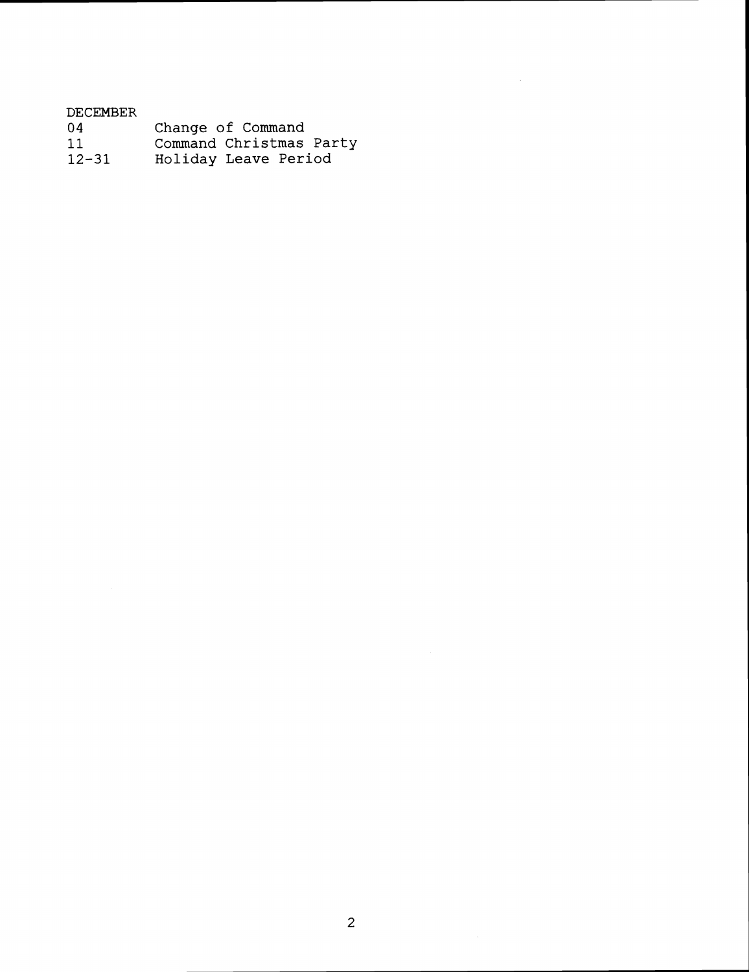| DECEMBER  |                         |
|-----------|-------------------------|
| -04       | Change of Command       |
| 11        | Command Christmas Party |
| $12 - 31$ | Holiday Leave Period    |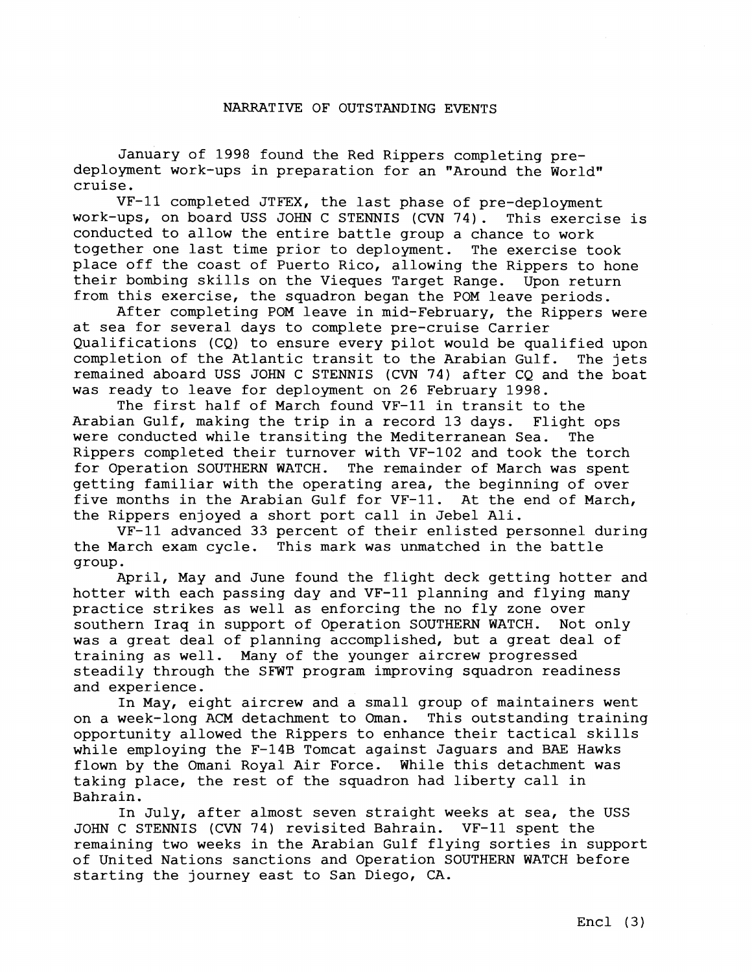## NARRATIVE OF OUTSTANDING EVENTS

January of 1998 found the Red Rippers completing predeployment work-ups in preparation for an "Around the World" cruise.

VF-11 completed JTFEX, the last phase of pre-deployment work-ups, on board USS JOHN C STENNIS (CVN 74). This exercise is conducted to allow the entire battle group a chance to work together one last time prior to deployment. The exercise took place off the coast of Puerto Rico, allowing the Rippers to hone their bombing skills on the Vieques Target Range. Upon return from this exercise, the squadron began the POM leave periods.

After completing POM leave in mid-February, the Rippers were at sea for several days to complete pre-cruise Carrier Qualifications (CQ) to ensure every pilot would be qualified upon completion of the Atlantic transit to the Arabian Gulf. The jets remained aboard USS JOHN C STENNIS **(CVN** 74) after CQ and the boat was ready to leave for deployment on 26 February 1998.

The first half of March found VF-11 in transit to the Arabian Gulf, making the trip in a record 13 days. Flight ops were conducted while transiting the Mediterranean Sea. The Rippers completed their turnover with VF-102 and took the torch for Operation SOUTHERN WATCH. The remainder of March was spent getting familiar with the operating area, the beginning of over five months in the Arabian Gulf for VF-11. At the end of March, the Rippers enjoyed a short port call in Jebel Ali.

VF-11 advanced 33 percent of their enlisted personnel during the March exam cycle. This mark was unmatched in the battle group.

April, May and June found the flight deck getting hotter and hotter with each passing day and VF-11 planning and flying many practice strikes as well as enforcing the no fly zone over southern Iraq in support of Operation SOUTHERN WATCH. Not only was a great deal of planning accomplished, but a great deal of training as well. Many of the younger aircrew progressed steadily through the **SFWT** program improving squadron readiness and experience.

In May, eight aircrew and a small group of maintainers went on a week-long ACM detachment to Oman. This outstanding training opportunity allowed the Rippers to enhance their tactical skills while employing the F-14B Tomcat against Jaguars and BAE Hawks flown by the Omani Royal Air Force. While this detachment was taking place, the rest of the squadron had liberty call in Bahrain.

In July, after almost seven straight weeks at sea, the USS JOHN C STENNIS (CVN 74) revisited Bahrain. VF-11 spent the remaining two weeks in the Arabian Gulf flying sorties in support of United Nations sanctions and Operation SOUTHERN WATCH before starting the journey east to San Diego, CA.